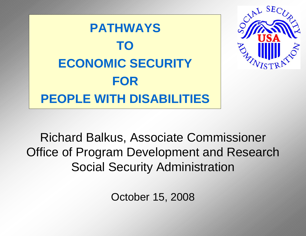**PATHWAYS TO ECONOMIC SECURITYFOR PEOPLE WITH DISABILITIES**



Richard Balkus, Associate Commissioner Office of Program Development and Research Social Security Administration

October 15, 2008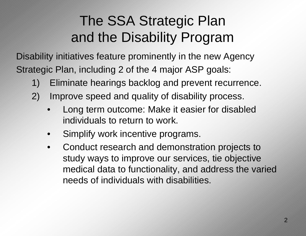## The SSA Strategic Plan and the Disability Program

Disability initiatives feature prominently in the new Agency Strategic Plan, including 2 of the 4 major ASP goals:

- 1) Eliminate hearings backlog and prevent recurrence.
- 2) Improve speed and quality of disability process.
	- • Long term outcome: Make it easier for disabled individuals to return to work.
	- •Simplify work incentive programs.
	- •Conduct research and demonstration projects to study ways to improve our services, tie objective medical data to functionality, and address the varied needs of individuals with disabilities.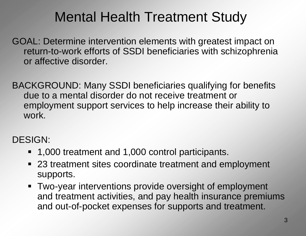#### Mental Health Treatment Study

GOAL: Determine intervention elements with greatest impact on return-to-work efforts of SSDI beneficiaries with schizophrenia or affective disorder.

BACKGROUND: Many SSDI beneficiaries qualifying for benefits due to a mental disorder do not receive treatment or employment support services to help increase their ability to work.

#### DESIGN:

- 1,000 treatment and 1,000 control participants.
- 23 treatment sites coordinate treatment and employment supports.
- Two-year interventions provide oversight of employment and treatment activities, and pay health insurance premiums and out-of-pocket expenses for supports and treatment.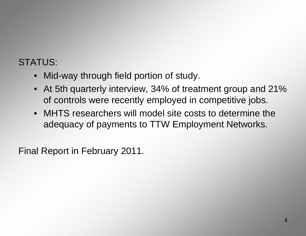#### STATUS:

- Mid-way through field portion of study.
- At 5th quarterly interview, 34% of treatment group and 21% of controls were recently employed in competitive jobs.
- MHTS researchers will model site costs to determine the adequacy of payments to TTW Employment Networks.

Final Report in February 2011.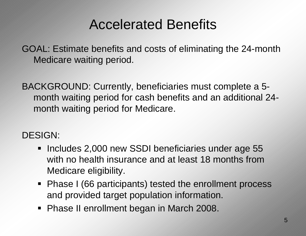#### Accelerated Benefits

GOAL: Estimate benefits and costs of eliminating the 24-month Medicare waiting period.

BACKGROUND: Currently, beneficiaries must complete a 5 month waiting period for cash benefits and an additional 24 month waiting period for Medicare.

#### DESIGN:

- **Includes 2,000 new SSDI beneficiaries under age 55** with no health insurance and at least 18 months from Medicare eligibility.
- Phase I (66 participants) tested the enrollment process and provided target population information.
- Phase II enrollment began in March 2008.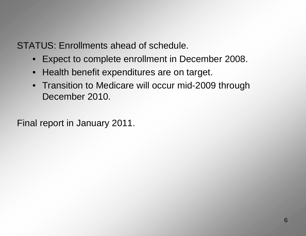STATUS: Enrollments ahead of schedule.

- Expect to complete enrollment in December 2008.
- $\bullet$ Health benefit expenditures are on target.
- Transition to Medicare will occur mid-2009 through December 2010.

Final report in January 2011.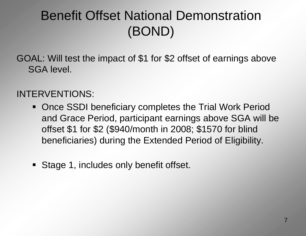#### Benefit Offset National Demonstration (BOND)

GOAL: Will test the impact of \$1 for \$2 offset of earnings above SGA level.

#### INTERVENTIONS:

- **Once SSDI beneficiary completes the Trial Work Period** and Grace Period, participant earnings above SGA will be offset \$1 for \$2 (\$940/month in 2008; \$1570 for blind beneficiaries) during the Extended Period of Eligibility.
- **Stage 1, includes only benefit offset.**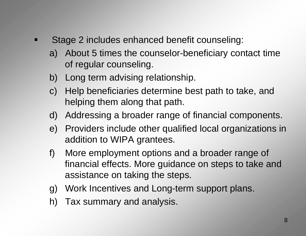- Æ Stage 2 includes enhanced benefit counseling:
	- a) About 5 times the counselor-beneficiary contact time of regular counseling.
	- b) Long term advising relationship.
	- c) Help beneficiaries determine best path to take, and helping them along that path.
	- d) Addressing a broader range of financial components.
	- e) Providers include other qualified local organizations in addition to WIPA grantees.
	- f) More employment options and a broader range of financial effects. More guidance on steps to take and assistance on taking the steps.
	- g) Work Incentives and Long-term support plans.
	- h) Tax summary and analysis.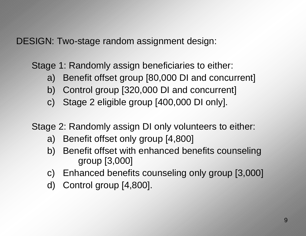DESIGN: Two-stage random assignment design:

Stage 1: Randomly assign beneficiaries to either:

- a) Benefit offset group [80,000 DI and concurrent]
- b) Control group [320,000 DI and concurrent]
- c) Stage 2 eligible group [400,000 DI only].

Stage 2: Randomly assign DI only volunteers to either:

- a) Benefit offset only group [4,800]
- b) Benefit offset with enhanced benefits counseling group [3,000]
- c) Enhanced benefits counseling only group [3,000]
- d) Control group [4,800].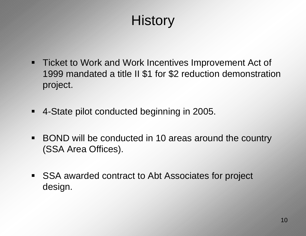## **History**

- **Ticket to Work and Work Incentives Improvement Act of** 1999 mandated a title II \$1 for \$2 reduction demonstration project.
- $\blacksquare$ 4-State pilot conducted beginning in 2005.
- $\blacksquare$  BOND will be conducted in 10 areas around the country (SSA Area Offices).
- $\blacksquare$  . SSA awarded contract to Abt Associates for project design.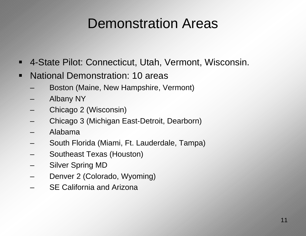## Demonstration Areas

- $\blacktriangle$ 4-State Pilot: Connecticut, Utah, Vermont, Wisconsin.
- $\hat{\mathbf{\pi}}$  National Demonstration: 10 areas
	- Boston (Maine, New Hampshire, Vermont)
	- Albany NY
	- Chicago 2 (Wisconsin)
	- Chicago 3 (Michigan East-Detroit, Dearborn)
	- Alabama
	- –South Florida (Miami, Ft. Lauderdale, Tampa)
	- Southeast Texas (Houston)
	- Silver Spring MD
	- Denver 2 (Colorado, Wyoming)
	- SE California and Arizona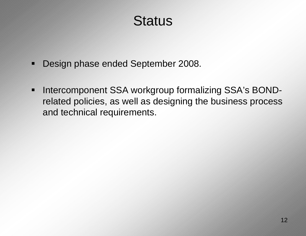#### **Status**

- Ķ Design phase ended September 2008.
- $\blacksquare$  Intercomponent SSA workgroup formalizing SSA's BONDrelated policies, as well as designing the business process and technical requirements.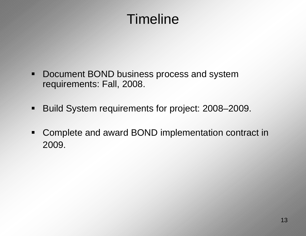## Timeline

- Œ Document BOND business process and system requirements: Fall, 2008.
- $\blacksquare$ Build System requirements for project: 2008–2009.
- $\blacksquare$  Complete and award BOND implementation contract in 2009.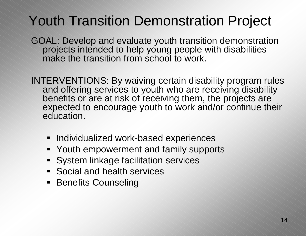## Youth Transition Demonstration Project

GOAL: Develop and evaluate youth transition demonstration projects intended to help young people with disabilities make the transition from school to work.

INTERVENTIO NS: By waiving certain disability program rules and offering services to youth who are receiving disability benefits or are at risk of receiving them, the projects are expected to encourage youth to work and/or continue their education.

- **Individualized work-based experiences**
- **Youth empowerment and family supports**
- **System linkage facilitation services**
- **Social and health services**
- **Benefits Counseling**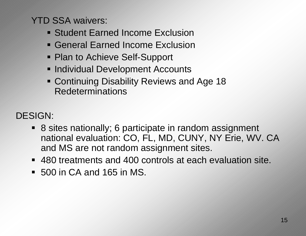YTD SSA waivers:

- **Student Earned Income Exclusion**
- General Earned Income Exclusion
- Plan to Achieve Self-Support
- **Individual Development Accounts**
- Continuing Disability Reviews and Age 18 Redeterminations

DESIGN:

- 8 sites nationally; 6 participate in random assignment national evaluation: CO, FL, MD, CUNY, NY Erie, WV. CA and MS are not random assignment sites.
- 480 treatments and 400 controls at each evaluation site.
- 500 in CA and 165 in MS.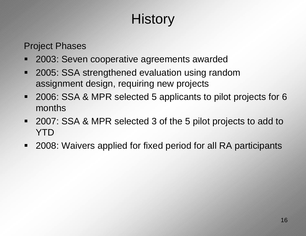# **History**

Project Phases

- $\blacksquare$ 2003: Seven cooperative agreements awarded
- Í 2005: SSA strengthened evaluation using random assignment design, requiring new projects
- $\blacksquare$  2006: SSA & MPR selected 5 applicants to pilot projects for 6 months
- $\blacksquare$  2007: SSA & MPR selected 3 of the 5 pilot projects to add to YTD
- $\blacksquare$ 2008: Waivers applied for fixed period for all RA participants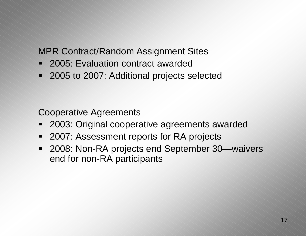MPR Contract/Random Assignment Sites

- 2005: Evaluation contract awarded
- 2005 to 2007: Additional projects selected

Cooperative Agreements

- 2003: Original cooperative agreements awarded
- $\blacksquare$ 2007: Assessment reports for RA projects
- $\blacksquare$  2008: Non-RA projects end September 30—waivers end for non-RA participants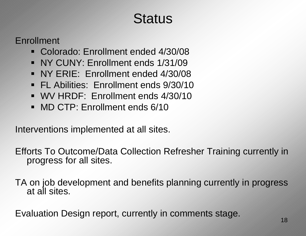## **Status**

Enrollment

- Colorado: Enrollment ended 4/30/08
- NY CUNY: Enrollment ends 1/31/09
- NY ERIE: Enrollment ended 4/30/08
- FL Abilities: Enrollment ends 9/30/10
- WV HRDF: Enrollment ends 4/30/10
- $\blacksquare$ MD CTP: Enrollment ends 6/10

Interventions implemented at all sites.

Efforts To Outcome/Data Collection Refresher Training currently in progress for all sites.

TA on job development and benefits planning currently in progress at all sites.

Evaluation Design report, currently in comments stage.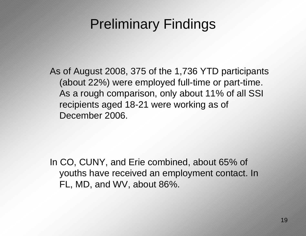### Preliminary Findings

As of August 2008, 375 of the 1,736 YTD participants (about 22%) were employed full-time or part-time. As a rough comparison, only about 11% of all SSI recipients aged 18-21 were working as of December 2006.

In CO, CUNY, and Erie combined, about 65% of youths have received an employment contact. In FL, MD, and WV, about 86%.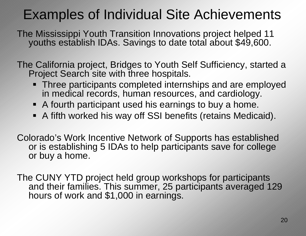## Examples of Individual Site Achievements

The Mississippi Youth Transition Innovations project helped 11 youths establish IDAs. Savings to date total about \$49,600.

The California project, Bridges to Youth Self Sufficiency, started a Project Search site with three hospitals.

- **Three participants completed internships and are employed** in medical records, human resources, and cardiology.
- A fourth participant used his earnings to buy a home.
- A fifth worked his way off SSI benefits (retains Medicaid).

Colorado's Work Incentive Network of Supports has established or is establishing 5 IDAs to help participants save for college or buy a home.

The CUNY YTD project held group workshops for participants and their families. This summer, 25 participants averaged 129 hours of work and \$1,000 in earnings.